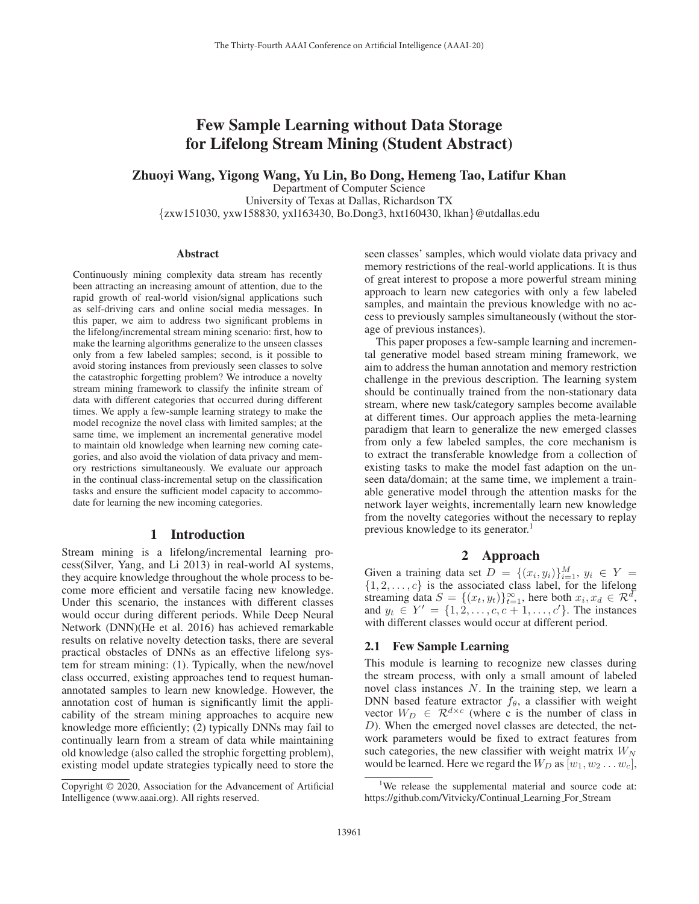# Few Sample Learning without Data Storage for Lifelong Stream Mining (Student Abstract)

# Zhuoyi Wang, Yigong Wang, Yu Lin, Bo Dong, Hemeng Tao, Latifur Khan

Department of Computer Science University of Texas at Dallas, Richardson TX {zxw151030, yxw158830, yxl163430, Bo.Dong3, hxt160430, lkhan}@utdallas.edu

#### **Abstract**

Continuously mining complexity data stream has recently been attracting an increasing amount of attention, due to the rapid growth of real-world vision/signal applications such as self-driving cars and online social media messages. In this paper, we aim to address two significant problems in the lifelong/incremental stream mining scenario: first, how to make the learning algorithms generalize to the unseen classes only from a few labeled samples; second, is it possible to avoid storing instances from previously seen classes to solve the catastrophic forgetting problem? We introduce a novelty stream mining framework to classify the infinite stream of data with different categories that occurred during different times. We apply a few-sample learning strategy to make the model recognize the novel class with limited samples; at the same time, we implement an incremental generative model to maintain old knowledge when learning new coming categories, and also avoid the violation of data privacy and memory restrictions simultaneously. We evaluate our approach in the continual class-incremental setup on the classification tasks and ensure the sufficient model capacity to accommodate for learning the new incoming categories.

### 1 Introduction

Stream mining is a lifelong/incremental learning process(Silver, Yang, and Li 2013) in real-world AI systems, they acquire knowledge throughout the whole process to become more efficient and versatile facing new knowledge. Under this scenario, the instances with different classes would occur during different periods. While Deep Neural Network (DNN)(He et al. 2016) has achieved remarkable results on relative novelty detection tasks, there are several practical obstacles of DNNs as an effective lifelong system for stream mining: (1). Typically, when the new/novel class occurred, existing approaches tend to request humanannotated samples to learn new knowledge. However, the annotation cost of human is significantly limit the applicability of the stream mining approaches to acquire new knowledge more efficiently; (2) typically DNNs may fail to continually learn from a stream of data while maintaining old knowledge (also called the strophic forgetting problem), existing model update strategies typically need to store the

seen classes' samples, which would violate data privacy and memory restrictions of the real-world applications. It is thus of great interest to propose a more powerful stream mining approach to learn new categories with only a few labeled samples, and maintain the previous knowledge with no access to previously samples simultaneously (without the storage of previous instances).

This paper proposes a few-sample learning and incremental generative model based stream mining framework, we aim to address the human annotation and memory restriction challenge in the previous description. The learning system should be continually trained from the non-stationary data stream, where new task/category samples become available at different times. Our approach applies the meta-learning paradigm that learn to generalize the new emerged classes from only a few labeled samples, the core mechanism is to extract the transferable knowledge from a collection of existing tasks to make the model fast adaption on the unseen data/domain; at the same time, we implement a trainable generative model through the attention masks for the network layer weights, incrementally learn new knowledge from the novelty categories without the necessary to replay previous knowledge to its generator.<sup>1</sup>

## 2 Approach

Given a training data set  $D = \{(x_i, y_i)\}_{i=1}^M$ ,  $y_i \in Y =$ <br>{1 2 c} is the associated class label for the lifelong  $\{1, 2, \ldots, c\}$  is the associated class label, for the lifelong<br>streaming data  $S = \{(x, y_1)\}_{n=1}^{\infty}$ , here both  $x, x_1 \in \mathbb{R}^d$ streaming data  $S = \{(x_t, y_t)\}_{t=1}^{\infty}$ , here both  $x_i, x_d \in \mathbb{R}^d$ ,<br>and  $y_t \in Y' = \{1, 2, ..., c \in \mathbb{R}^d\}$ . The instances and  $y_t \in Y' = \{1, 2, \ldots, c, c+1, \ldots, c'\}$ . The instances with different classes would occur at different period with different classes would occur at different period.

# 2.1 Few Sample Learning

This module is learning to recognize new classes during the stream process, with only a small amount of labeled novel class instances N. In the training step, we learn a DNN based feature extractor  $f_{\theta}$ , a classifier with weight vector  $W_D \in \mathcal{R}^{d \times c}$  (where c is the number of class in D). When the emerged novel classes are detected, the network parameters would be fixed to extract features from such categories, the new classifier with weight matrix  $W_N$ would be learned. Here we regard the  $W_D$  as  $[w_1, w_2 \dots w_c]$ ,

Copyright © 2020, Association for the Advancement of Artificial Intelligence (www.aaai.org). All rights reserved.

<sup>&</sup>lt;sup>1</sup>We release the supplemental material and source code at: https://github.com/Vitvicky/Continual Learning For Stream